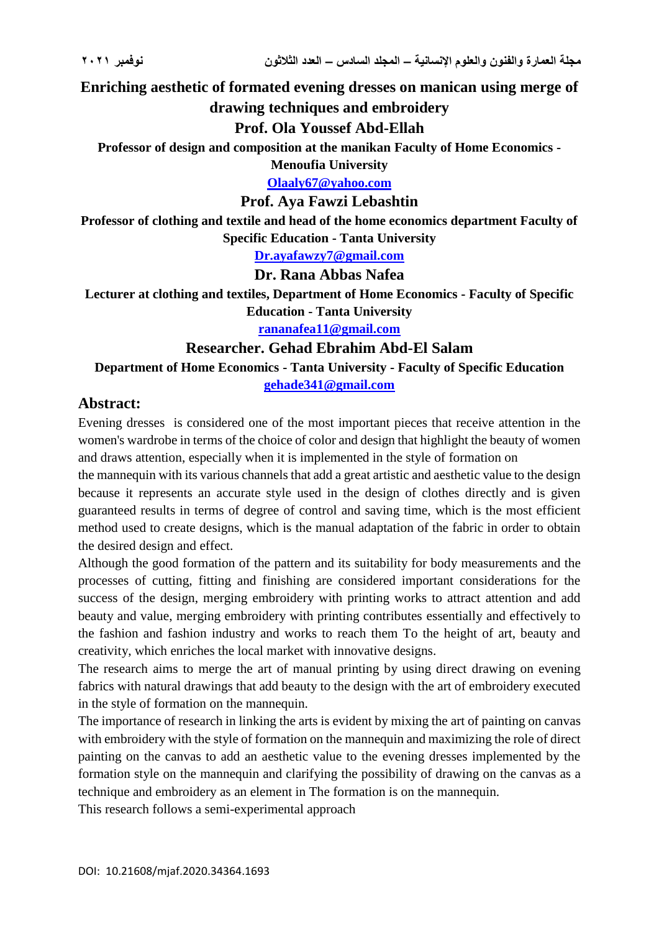**Enriching aesthetic of formated evening dresses on manican using merge of drawing techniques and embroidery**

# **Prof. Ola Youssef Abd-Ellah**

**Professor of design and composition at the manikan Faculty of Home Economics -**

**Menoufia University**

**[Olaaly67@yahoo.com](mailto:Olaaly67@yahoo.com)**

## **Prof. Aya Fawzi Lebashtin**

**Professor of clothing and textile and head of the home economics department Faculty of Specific Education - Tanta University**

**[Dr.ayafawzy7@gmail.com](mailto:Dr.ayafawzy7@gmail.com)**

## **Dr. Rana Abbas Nafea**

**Lecturer at clothing and textiles, Department of Home Economics - Faculty of Specific Education - Tanta University**

**[rananafea11@gmail.com](mailto:rananafea11@gmail.com)**

#### **Researcher. Gehad Ebrahim Abd-El Salam**

**Department of Home Economics - Tanta University - Faculty of Specific Education [gehade341@gmail.com](mailto:gehade341@gmail.com)**

# **Abstract:**

Evening dresses is considered one of the most important pieces that receive attention in the women's wardrobe in terms of the choice of color and design that highlight the beauty of women and draws attention, especially when it is implemented in the style of formation on

the mannequin with its various channels that add a great artistic and aesthetic value to the design because it represents an accurate style used in the design of clothes directly and is given guaranteed results in terms of degree of control and saving time, which is the most efficient method used to create designs, which is the manual adaptation of the fabric in order to obtain the desired design and effect.

Although the good formation of the pattern and its suitability for body measurements and the processes of cutting, fitting and finishing are considered important considerations for the success of the design, merging embroidery with printing works to attract attention and add beauty and value, merging embroidery with printing contributes essentially and effectively to the fashion and fashion industry and works to reach them To the height of art, beauty and creativity, which enriches the local market with innovative designs.

The research aims to merge the art of manual printing by using direct drawing on evening fabrics with natural drawings that add beauty to the design with the art of embroidery executed in the style of formation on the mannequin.

The importance of research in linking the arts is evident by mixing the art of painting on canvas with embroidery with the style of formation on the mannequin and maximizing the role of direct painting on the canvas to add an aesthetic value to the evening dresses implemented by the formation style on the mannequin and clarifying the possibility of drawing on the canvas as a technique and embroidery as an element in The formation is on the mannequin.

This research follows a semi-experimental approach